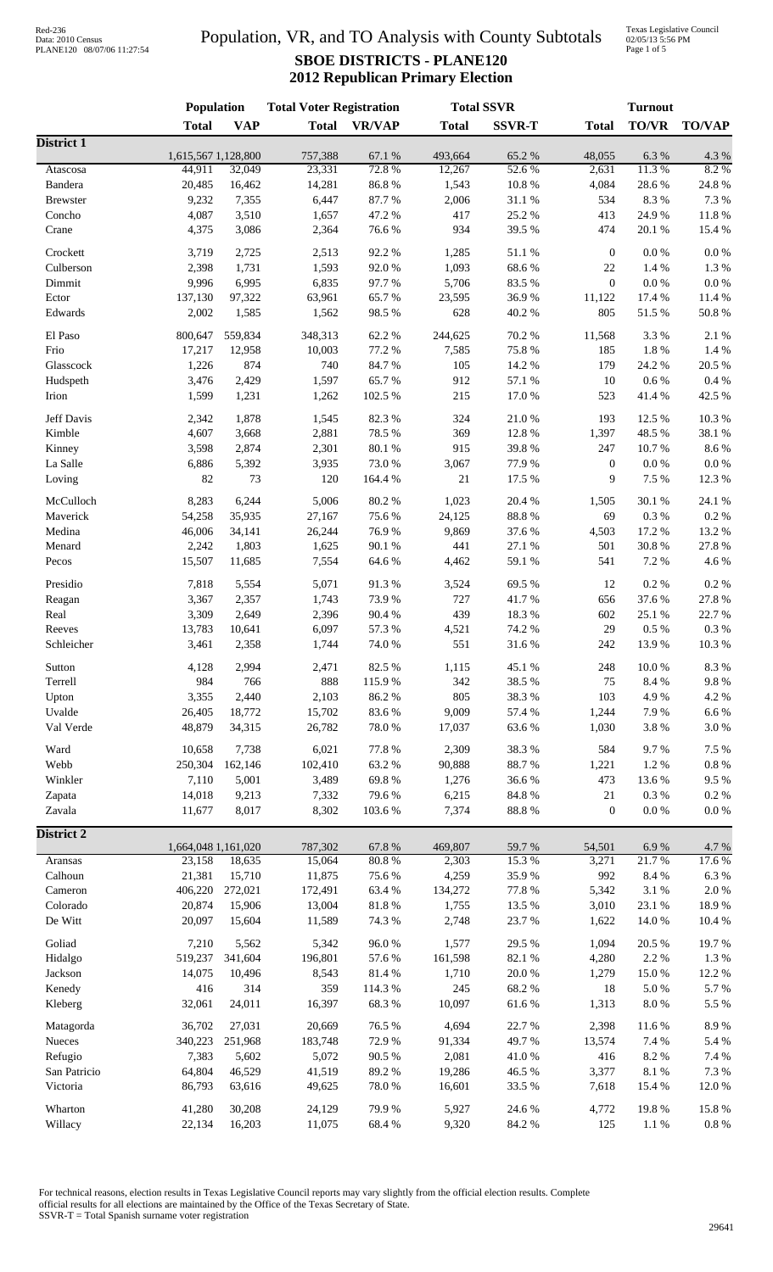### Population, VR, and TO Analysis with County Subtotals **SBOE DISTRICTS - PLANE120 2012 Republican Primary Election**

Texas Legislative Council 02/05/13 5:56 PM Page 1 of 5

|                   | Population                    |            | <b>Total Voter Registration</b> |                 | <b>Total SSVR</b> |                | <b>Turnout</b>   |               |               |
|-------------------|-------------------------------|------------|---------------------------------|-----------------|-------------------|----------------|------------------|---------------|---------------|
|                   | <b>Total</b>                  | <b>VAP</b> | <b>Total</b>                    | <b>VR/VAP</b>   | <b>Total</b>      | <b>SSVR-T</b>  | <b>Total</b>     | TO/VR         | <b>TO/VAP</b> |
| <b>District 1</b> |                               |            |                                 |                 |                   |                |                  |               |               |
| Atascosa          | 1,615,567 1,128,800<br>44,911 | 32,049     | 757,388<br>23,331               | 67.1 %<br>72.8% | 493,664<br>12,267 | 65.2%<br>52.6% | 48,055<br>2,631  | 6.3%<br>11.3% | 4.3 %<br>8.2% |
| Bandera           | 20,485                        | 16,462     | 14,281                          | 86.8%           | 1,543             | 10.8 %         | 4,084            | 28.6%         | 24.8 %        |
| <b>Brewster</b>   | 9,232                         | 7,355      | 6,447                           | 87.7%           | 2,006             | 31.1 %         | 534              | 8.3%          | 7.3 %         |
| Concho            | 4,087                         | 3,510      | 1,657                           | 47.2 %          | 417               | 25.2 %         | 413              | 24.9%         | 11.8%         |
| Crane             | 4,375                         | 3,086      | 2,364                           | 76.6%           | 934               | 39.5 %         | 474              | 20.1 %        | 15.4 %        |
|                   |                               |            |                                 |                 |                   |                |                  |               |               |
| Crockett          | 3,719                         | 2,725      | 2,513                           | 92.2%           | 1,285             | 51.1%          | $\boldsymbol{0}$ | $0.0\ \%$     | $0.0\ \%$     |
| Culberson         | 2,398                         | 1,731      | 1,593                           | 92.0%           | 1,093             | 68.6%          | 22               | 1.4 %         | 1.3%          |
| Dimmit            | 9,996                         | 6,995      | 6,835                           | 97.7%           | 5,706             | 83.5%          | $\boldsymbol{0}$ | $0.0\ \%$     | $0.0\ \%$     |
| Ector             | 137,130                       | 97,322     | 63,961                          | 65.7%           | 23,595            | 36.9%          | 11,122           | 17.4 %        | 11.4 %        |
| Edwards           | 2,002                         | 1,585      | 1,562                           | 98.5 %          | 628               | 40.2 %         | 805              | 51.5 %        | 50.8%         |
| El Paso           | 800,647                       | 559,834    | 348,313                         | 62.2%           | 244,625           | 70.2 %         | 11,568           | 3.3%          | 2.1 %         |
| Frio              | 17,217                        | 12,958     | 10,003                          | 77.2 %          | 7,585             | 75.8%          | 185              | 1.8 %         | 1.4 %         |
| Glasscock         | 1,226                         | 874        | 740                             | 84.7%           | 105               | 14.2 %         | 179              | 24.2 %        | 20.5 %        |
| Hudspeth          | 3,476                         | 2,429      | 1,597                           | 65.7%           | 912               | 57.1 %         | 10               | $0.6\,\%$     | $0.4~\%$      |
| Irion             | 1,599                         | 1,231      | 1,262                           | 102.5 %         | 215               | 17.0%          | 523              | 41.4 %        | 42.5 %        |
| Jeff Davis        | 2,342                         | 1,878      | 1,545                           | 82.3%           | 324               | 21.0%          | 193              | 12.5 %        | 10.3%         |
| Kimble            | 4,607                         | 3,668      | 2,881                           | 78.5 %          | 369               | 12.8%          | 1,397            | 48.5 %        | 38.1 %        |
| Kinney            | 3,598                         | 2,874      | 2,301                           | 80.1 %          | 915               | 39.8%          | 247              | 10.7%         | 8.6%          |
| La Salle          | 6,886                         | 5,392      | 3,935                           | 73.0%           | 3,067             | 77.9%          | $\boldsymbol{0}$ | $0.0\ \%$     | $0.0\ \%$     |
| Loving            | 82                            | 73         | 120                             | 164.4 %         | $21\,$            | 17.5 %         | 9                | 7.5 %         | 12.3 %        |
|                   |                               |            |                                 |                 |                   |                |                  |               |               |
| McCulloch         | 8,283                         | 6,244      | 5,006                           | 80.2%           | 1,023             | 20.4 %         | 1,505            | 30.1 %        | 24.1 %        |
| Maverick          | 54,258                        | 35,935     | 27,167                          | 75.6%           | 24,125            | $88.8\ \%$     | 69               | $0.3~\%$      | $0.2~\%$      |
| Medina            | 46,006                        | 34,141     | 26,244                          | 76.9%           | 9,869             | 37.6%          | 4,503            | 17.2 %        | 13.2 %        |
| Menard            | 2,242                         | 1,803      | 1,625                           | 90.1 %          | 441               | 27.1 %         | 501              | 30.8 %        | 27.8%         |
| Pecos             | 15,507                        | 11,685     | 7,554                           | 64.6%           | 4,462             | $59.1~\%$      | 541              | 7.2 %         | 4.6 %         |
| Presidio          | 7,818                         | 5,554      | 5,071                           | 91.3%           | 3,524             | 69.5%          | 12               | 0.2 %         | $0.2~\%$      |
| Reagan            | 3,367                         | 2,357      | 1,743                           | 73.9%           | 727               | 41.7%          | 656              | 37.6%         | 27.8 %        |
| Real              | 3,309                         | 2,649      | 2,396                           | 90.4 %          | 439               | 18.3%          | 602              | 25.1 %        | 22.7%         |
| Reeves            | 13,783                        | 10,641     | 6,097                           | 57.3 %          | 4,521             | 74.2 %         | 29               | $0.5~\%$      | $0.3~\%$      |
| Schleicher        | 3,461                         | 2,358      | 1,744                           | 74.0%           | 551               | 31.6%          | 242              | 13.9%         | 10.3%         |
|                   |                               |            |                                 |                 |                   |                |                  |               |               |
| Sutton            | 4,128                         | 2,994      | 2,471                           | 82.5 %          | 1,115             | 45.1 %         | 248              | $10.0~\%$     | 8.3%          |
| Terrell           | 984                           | 766        | 888                             | 115.9%          | 342               | 38.5 %         | 75               | 8.4 %         | $9.8\ \%$     |
| Upton             | 3,355                         | 2,440      | 2,103                           | 86.2%           | 805               | 38.3%          | 103              | 4.9%          | 4.2 %         |
| Uvalde            | 26,405                        | 18,772     | 15,702                          | 83.6%           | 9,009             | 57.4 %         | 1,244            | 7.9%          | $6.6\ \%$     |
| Val Verde         | 48.879                        | 34,315     | 26,782                          | 78.0%           | 17,037            | 63.6%          | 1,030            | $3.8\ \%$     | $3.0\ \%$     |
| Ward              | 10,658                        | 7,738      | 6,021                           | 77.8%           | 2,309             | 38.3%          | 584              | 9.7%          | 7.5 %         |
| Webb              | 250,304                       | 162,146    | 102,410                         | 63.2%           | 90,888            | 88.7%          | 1,221            | 1.2%          | $0.8~\%$      |
| Winkler           | 7,110                         | 5,001      | 3,489                           | 69.8%           | 1,276             | 36.6%          | 473              | 13.6%         | 9.5%          |
| Zapata            | 14,018                        | 9,213      | 7,332                           | 79.6%           | 6,215             | 84.8 %         | 21               | $0.3~\%$      | 0.2 %         |
| Zavala            | 11,677                        | 8,017      | 8,302                           | 103.6%          | 7,374             | 88.8 %         | $\mathbf{0}$     | 0.0 %         | $0.0\ \%$     |
| District 2        |                               |            |                                 |                 |                   |                |                  |               |               |
|                   | 1,664,048 1,161,020           |            | 787,302                         | 67.8%           | 469,807           | 59.7%          | 54,501           | 6.9%          | 4.7 %         |
| Aransas           | 23,158                        | 18,635     | 15,064                          | 80.8%           | 2,303             | 15.3%          | 3,271            | 21.7%         | 17.6 %        |
| Calhoun           | 21,381                        | 15,710     | 11,875                          | 75.6%           | 4,259             | 35.9%          | 992              | $8.4\ \%$     | $6.3~\%$      |
| Cameron           | 406,220                       | 272,021    | 172,491                         | 63.4%           | 134,272           | 77.8 %         | 5,342            | $3.1~\%$      | $2.0\ \%$     |
| Colorado          | 20,874                        | 15,906     | 13,004                          | 81.8%           | 1,755             | 13.5 %         | 3,010            | 23.1 %        | 18.9%         |
| De Witt           | 20,097                        | 15,604     | 11,589                          | 74.3 %          | 2,748             | 23.7%          | 1,622            | 14.0 %        | 10.4 %        |
|                   |                               |            |                                 |                 |                   |                |                  |               |               |
| Goliad            | 7,210                         | 5,562      | 5,342                           | 96.0%           | 1,577             | 29.5 %         | 1,094            | 20.5 %        | 19.7%         |
| Hidalgo           | 519,237                       | 341,604    | 196,801                         | 57.6 %          | 161,598           | 82.1 %         | 4,280            | 2.2 %         | $1.3~\%$      |
| Jackson           | 14,075                        | 10,496     | 8,543                           | 81.4%           | 1,710             | $20.0~\%$      | 1,279            | 15.0%         | 12.2 %        |
| Kenedy            | 416                           | 314        | 359                             | 114.3 %         | 245               | 68.2%          | 18               | $5.0\ \%$     | 5.7%          |
| Kleberg           | 32,061                        | 24,011     | 16,397                          | 68.3%           | 10,097            | 61.6%          | 1,313            | $8.0\ \%$     | 5.5 %         |
| Matagorda         | 36,702                        | 27,031     | 20,669                          | 76.5 %          | 4,694             | 22.7 %         | 2,398            | 11.6 %        | 8.9%          |
| Nueces            | 340,223                       | 251,968    | 183,748                         | 72.9%           | 91,334            | 49.7%          | 13,574           | 7.4 %         | 5.4 %         |
| Refugio           | 7,383                         | 5,602      | 5,072                           | 90.5 %          | 2,081             | 41.0%          | 416              | 8.2 %         | $7.4~\%$      |
| San Patricio      | 64,804                        | 46,529     | 41,519                          | 89.2%           | 19,286            | 46.5 %         | 3,377            | $8.1\ \%$     | 7.3 %         |
| Victoria          | 86,793                        | 63,616     | 49,625                          | 78.0%           | 16,601            | 33.5 %         | 7,618            | 15.4 %        | 12.0%         |
|                   |                               |            |                                 |                 |                   |                |                  |               |               |
| Wharton           | 41,280                        | 30,208     | 24,129                          | 79.9%           | 5,927             | 24.6 %         | 4,772            | 19.8%         | 15.8%         |
| Willacy           | 22,134                        | 16,203     | 11,075                          | 68.4%           | 9,320             | 84.2 %         | 125              | 1.1%          | $0.8~\%$      |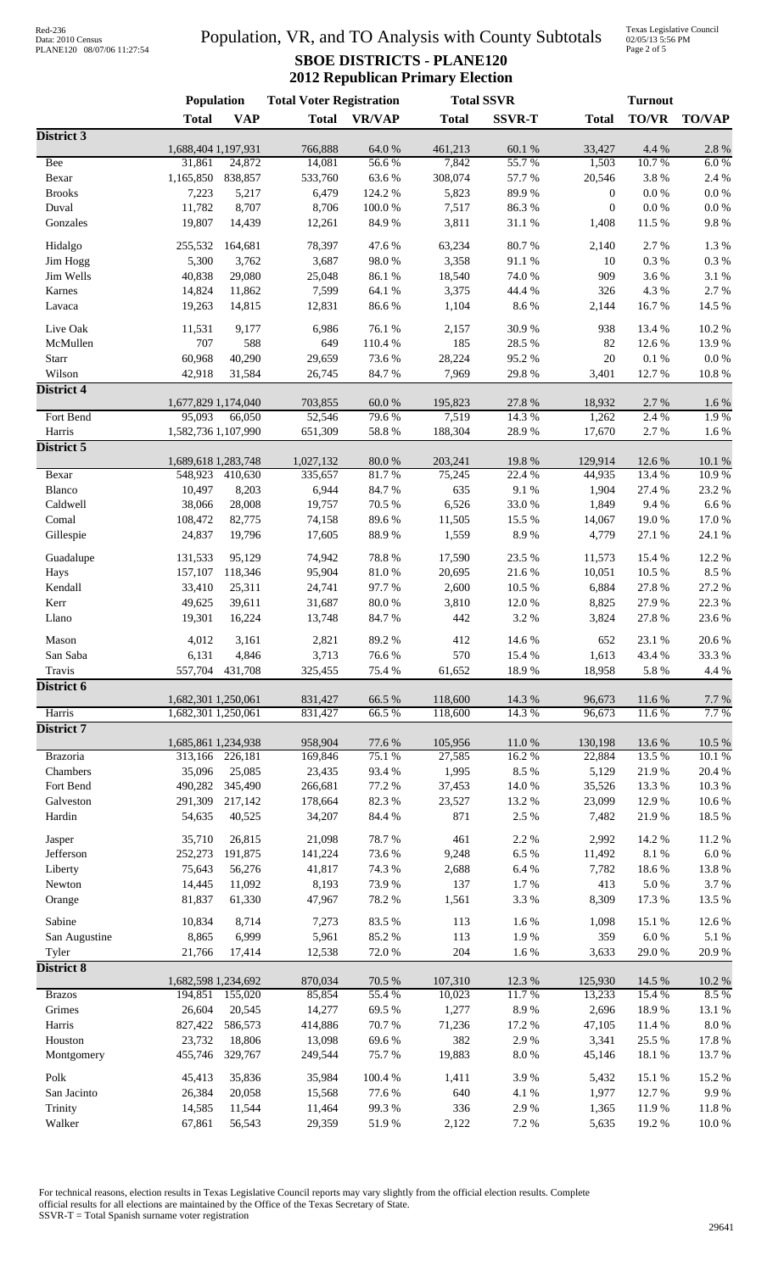# Data: 2010 Census PLANE120 08/07/06 11:27:54

### Population, VR, and TO Analysis with County Subtotals **SBOE DISTRICTS - PLANE120 2012 Republican Primary Election**

Texas Legislative Council 02/05/13 5:56 PM Page 2 of 5

|                     | <b>Population</b>             |                   | <b>Total Voter Registration</b> |                  | <b>Total SSVR</b>  |                  |                  | <b>Turnout</b>   |                     |  |
|---------------------|-------------------------------|-------------------|---------------------------------|------------------|--------------------|------------------|------------------|------------------|---------------------|--|
|                     | <b>Total</b>                  | <b>VAP</b>        | <b>Total</b>                    | <b>VR/VAP</b>    | <b>Total</b>       | <b>SSVR-T</b>    | <b>Total</b>     | <b>TO/VR</b>     | <b>TO/VAP</b>       |  |
| District 3          |                               |                   |                                 |                  |                    |                  |                  |                  |                     |  |
| Bee                 | 1,688,404 1,197,931<br>31,861 | 24,872            | 766,888<br>14,081               | 64.0%<br>56.6%   | 461,213<br>7,842   | 60.1%<br>55.7%   | 33,427<br>1,503  | 4.4 %<br>10.7%   | $2.8\ \%$<br>6.0%   |  |
| Bexar               | 1,165,850                     | 838,857           | 533,760                         | 63.6%            | 308,074            | 57.7 %           | 20,546           | 3.8%             | 2.4 %               |  |
| <b>Brooks</b>       | 7,223                         | 5,217             | 6,479                           | 124.2 %          | 5,823              | 89.9%            | $\mathbf{0}$     | $0.0\ \%$        | $0.0\ \%$           |  |
| Duval               | 11,782                        | 8,707             | 8,706                           | $100.0~\%$       | 7,517              | 86.3%            | $\boldsymbol{0}$ | $0.0\ \%$        | $0.0\ \%$           |  |
| Gonzales            | 19,807                        | 14,439            | 12,261                          | 84.9%            | 3,811              | $31.1\text{ }\%$ | 1,408            | 11.5 %           | $9.8\ \%$           |  |
|                     |                               |                   |                                 |                  |                    |                  |                  |                  |                     |  |
| Hidalgo<br>Jim Hogg | 255,532<br>5,300              | 164,681<br>3,762  | 78,397<br>3,687                 | 47.6%<br>98.0%   | 63,234<br>3,358    | 80.7%<br>91.1%   | 2,140<br>10      | 2.7%<br>$0.3~\%$ | 1.3%<br>$0.3\ \%$   |  |
| Jim Wells           | 40,838                        | 29,080            | 25,048                          | 86.1 %           | 18,540             | 74.0 %           | 909              | 3.6 %            | 3.1 %               |  |
| Karnes              | 14,824                        | 11,862            | 7,599                           | 64.1 %           | 3,375              | 44.4 %           | 326              | 4.3 %            | 2.7 %               |  |
| Lavaca              | 19,263                        | 14,815            | 12,831                          | 86.6%            | 1,104              | 8.6%             | 2,144            | 16.7%            | 14.5 %              |  |
|                     |                               |                   |                                 |                  |                    |                  |                  |                  |                     |  |
| Live Oak            | 11,531                        | 9,177             | 6,986                           | 76.1 %           | 2,157              | 30.9%            | 938              | 13.4 %           | 10.2%               |  |
| McMullen<br>Starr   | 707<br>60,968                 | 588<br>40,290     | 649<br>29,659                   | 110.4 %<br>73.6% | 185<br>28,224      | 28.5 %<br>95.2%  | 82<br>$20\,$     | 12.6 %<br>0.1%   | 13.9%<br>0.0 %      |  |
| Wilson              | 42,918                        | 31,584            | 26,745                          | 84.7%            | 7,969              | 29.8%            | 3,401            | 12.7 %           | 10.8%               |  |
| <b>District 4</b>   |                               |                   |                                 |                  |                    |                  |                  |                  |                     |  |
|                     | 1,677,829 1,174,040           |                   | 703,855                         | 60.0%            | 195,823            | 27.8 %           | 18,932           | 2.7 %            | 1.6 %               |  |
| Fort Bend           | 95,093                        | 66,050            | 52,546                          | 79.6%            | 7,519              | 14.3 %           | 1,262            | 2.4 %            | 1.9%                |  |
| Harris              | 1,582,736 1,107,990           |                   | 651,309                         | 58.8%            | 188,304            | 28.9%            | 17,670           | 2.7%             | $1.6\ \%$           |  |
| District 5          |                               |                   |                                 |                  |                    |                  |                  |                  |                     |  |
|                     | 1,689,618 1,283,748           |                   | 1,027,132                       | 80.0%            | 203,241            | 19.8%            | 129,914          | 12.6 %           | 10.1 %              |  |
| Bexar               | 548,923                       | 410,630           | 335,657                         | 81.7%            | 75,245             | 22.4 %           | 44,935           | 13.4 %           | 10.9%               |  |
| Blanco<br>Caldwell  | 10,497                        | 8,203             | 6,944<br>19,757                 | 84.7%<br>70.5 %  | 635                | 9.1%             | 1,904            | 27.4 %<br>9.4%   | 23.2 %              |  |
| Comal               | 38,066<br>108,472             | 28,008<br>82,775  | 74,158                          | 89.6%            | 6,526<br>11,505    | 33.0%<br>15.5 %  | 1,849<br>14,067  | 19.0%            | $6.6\ \%$<br>17.0 % |  |
| Gillespie           | 24,837                        | 19,796            | 17,605                          | 88.9%            | 1,559              | 8.9%             | 4,779            | 27.1 %           | 24.1 %              |  |
|                     |                               |                   |                                 |                  |                    |                  |                  |                  |                     |  |
| Guadalupe           | 131,533                       | 95,129            | 74,942                          | 78.8%            | 17,590             | 23.5 %           | 11,573           | 15.4 %           | 12.2 %              |  |
| Hays                | 157,107                       | 118,346           | 95,904                          | $81.0\ \%$       | 20,695             | 21.6 %           | 10,051           | 10.5 %           | 8.5 %               |  |
| Kendall             | 33,410                        | 25,311            | 24,741                          | 97.7%            | 2,600              | 10.5 %           | 6,884            | 27.8 %           | 27.2 %              |  |
| Kerr                | 49,625                        | 39,611            | 31,687                          | $80.0\;\%$       | 3,810              | 12.0%            | 8,825            | 27.9%            | 22.3 %              |  |
| Llano               | 19,301                        | 16,224            | 13,748                          | 84.7%            | 442                | 3.2 %            | 3,824            | 27.8 %           | 23.6%               |  |
| Mason               | 4,012                         | 3,161             | 2,821                           | 89.2%            | 412                | 14.6 %           | 652              | 23.1 %           | 20.6%               |  |
| San Saba            | 6,131                         | 4,846             | 3,713                           | 76.6%            | 570                | 15.4 %           | 1,613            | 43.4 %           | 33.3 %              |  |
| Travis              |                               | 557,704 431,708   | 325,455                         | 75.4 %           | 61,652             | 18.9%            | 18,958           | 5.8%             | 4.4 %               |  |
| District 6          | 1,682,301 1,250,061           |                   |                                 |                  |                    | 14.3 %           |                  |                  |                     |  |
| Harris              | 1,682,301 1,250,061           |                   | 831,427<br>831,427              | 66.5 %<br>66.5%  | 118,600<br>118,600 | 14.3 %           | 96,673<br>96,673 | 11.6 %<br>11.6%  | 7.7 %<br>7.7 %      |  |
| District 7          |                               |                   |                                 |                  |                    |                  |                  |                  |                     |  |
|                     | 1,685,861 1,234,938           |                   | 958,904                         | 77.6 %           | 105,956            | 11.0%            | 130,198          | 13.6 %           | 10.5 %              |  |
| <b>Brazoria</b>     | 313,166                       | 226,181           | 169,846                         | 75.1 %           | 27,585             | 16.2%            | 22,884           | 13.5 %           | 10.1%               |  |
| Chambers            | 35,096                        | 25,085            | 23,435                          | 93.4%            | 1,995              | 8.5 %            | 5,129            | 21.9%            | 20.4 %              |  |
| Fort Bend           | 490,282                       | 345,490           | 266,681                         | 77.2 %           | 37,453             | 14.0 %           | 35,526           | 13.3 %           | $10.3~\%$           |  |
| Galveston           | 291,309                       | 217,142           | 178,664                         | 82.3%            | 23,527             | 13.2 %           | 23,099           | 12.9%            | 10.6%               |  |
| Hardin              | 54,635                        | 40,525            | 34,207                          | 84.4 %           | 871                | 2.5 %            | 7,482            | 21.9%            | 18.5 %              |  |
| Jasper              | 35,710                        | 26,815            | 21,098                          | 78.7%            | 461                | 2.2 %            | 2,992            | 14.2 %           | 11.2%               |  |
| Jefferson           | 252,273                       | 191,875           | 141,224                         | 73.6%            | 9,248              | 6.5%             | 11,492           | 8.1 %            | $6.0~\%$            |  |
| Liberty             | 75,643                        | 56,276            | 41,817                          | 74.3 %           | 2,688              | $6.4~\%$         | 7,782            | 18.6%            | 13.8 %              |  |
| Newton              | 14,445                        | 11,092            | 8,193                           | 73.9%            | 137                | 1.7%             | 413              | 5.0%             | 3.7%                |  |
| Orange              | 81,837                        | 61,330            | 47,967                          | 78.2%            | 1,561              | 3.3%             | 8,309            | 17.3 %           | 13.5 %              |  |
| Sabine              | 10,834                        | 8,714             | 7,273                           | 83.5%            | 113                | 1.6%             | 1,098            | 15.1 %           | 12.6 %              |  |
| San Augustine       | 8,865                         | 6,999             | 5,961                           | 85.2%            | 113                | 1.9%             | 359              | $6.0~\%$         | 5.1 %               |  |
| Tyler               | 21,766                        | 17,414            | 12,538                          | 72.0%            | 204                | 1.6 %            | 3,633            | 29.0%            | 20.9%               |  |
| <b>District 8</b>   |                               |                   |                                 |                  |                    |                  |                  |                  |                     |  |
|                     | 1,682,598 1,234,692           |                   | 870,034                         | 70.5 %           | 107,310            | 12.3 %           | 125,930          | 14.5 %           | $10.2~\%$           |  |
| <b>Brazos</b>       | 194,851                       | 155,020           | 85,854                          | 55.4 %           | 10,023             | 11.7%            | 13,233           | 15.4 %           | 8.5%                |  |
| Grimes<br>Harris    | 26,604<br>827,422             | 20,545<br>586,573 | 14,277<br>414,886               | 69.5%<br>70.7%   | 1,277<br>71,236    | 8.9%<br>17.2 %   | 2,696<br>47,105  | 18.9%<br>11.4 %  | 13.1 %<br>$8.0\ \%$ |  |
| Houston             | 23,732                        | 18,806            | 13,098                          | 69.6%            | 382                | 2.9%             | 3,341            | 25.5 %           | 17.8 %              |  |
| Montgomery          | 455,746                       | 329,767           | 249,544                         | 75.7%            | 19,883             | 8.0%             | 45,146           | 18.1 %           | 13.7%               |  |
|                     |                               |                   |                                 |                  |                    |                  |                  |                  |                     |  |
| Polk                | 45,413                        | 35,836            | 35,984                          | 100.4 %          | 1,411              | 3.9%             | 5,432            | 15.1 %           | 15.2%               |  |
| San Jacinto         | 26,384                        | 20,058            | 15,568                          | 77.6 %           | 640                | 4.1%             | 1,977            | 12.7 %           | 9.9%                |  |
| Trinity<br>Walker   | 14,585<br>67,861              | 11,544<br>56,543  | 11,464<br>29,359                | 99.3%<br>51.9%   | 336<br>2,122       | 2.9%<br>7.2 %    | 1,365<br>5,635   | 11.9%<br>19.2 %  | 11.8%<br>10.0%      |  |
|                     |                               |                   |                                 |                  |                    |                  |                  |                  |                     |  |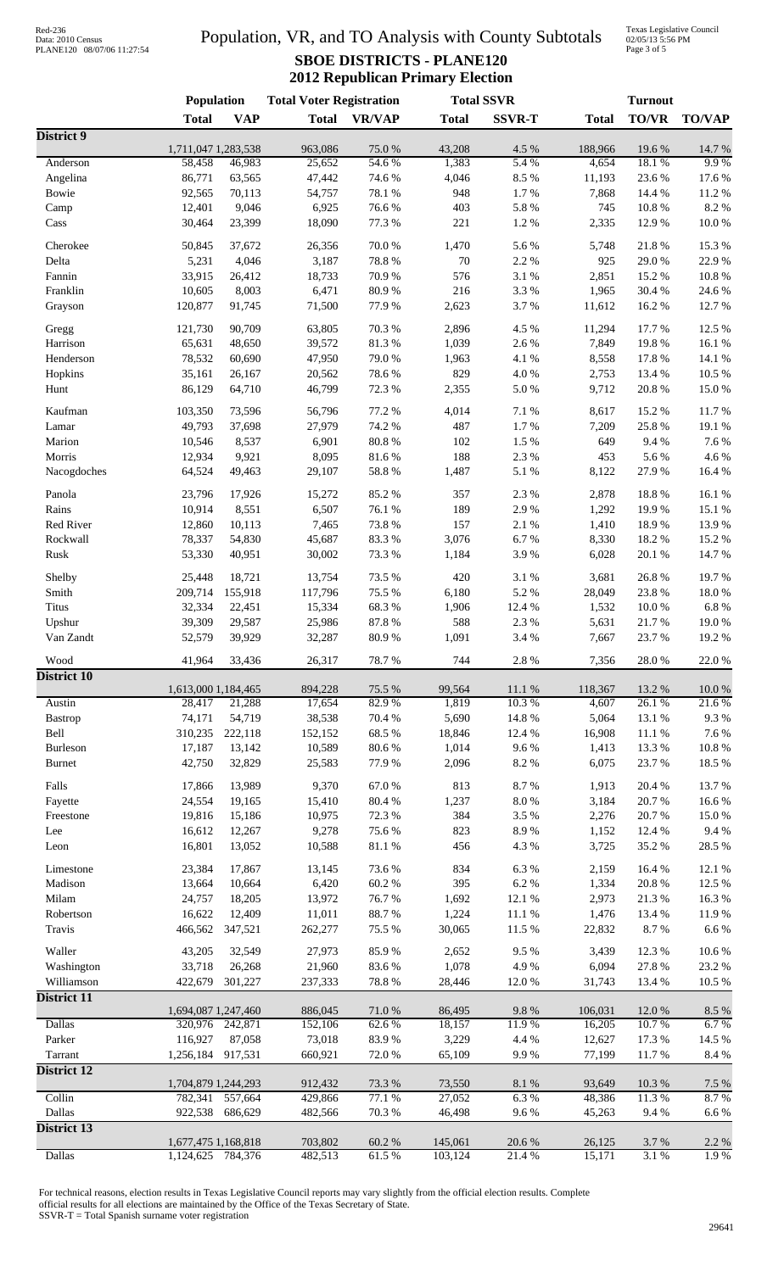# Data: 2010 Census PLANE120 08/07/06 11:27:54

## Population, VR, and TO Analysis with County Subtotals **SBOE DISTRICTS - PLANE120 2012 Republican Primary Election**

Texas Legislative Council 02/05/13 5:56 PM Page 3 of 5

|                    | Population                     |                    | <b>Total Voter Registration</b> |                  |                  | <b>Total SSVR</b> |                  | <b>Turnout</b>  |                  |  |
|--------------------|--------------------------------|--------------------|---------------------------------|------------------|------------------|-------------------|------------------|-----------------|------------------|--|
|                    | <b>Total</b>                   | <b>VAP</b>         | <b>Total</b>                    | <b>VR/VAP</b>    | <b>Total</b>     | <b>SSVR-T</b>     | <b>Total</b>     | <b>TO/VR</b>    | <b>TO/VAP</b>    |  |
| District 9         | 1,711,047 1,283,538            |                    | 963,086                         | 75.0%            | 43,208           | 4.5 %             | 188,966          | 19.6%           | 14.7%            |  |
| Anderson           | 58,458                         | 46,983             | 25,652                          | 54.6%            | 1,383            | 5.4%              | 4,654            | 18.1%           | 9.9%             |  |
| Angelina           | 86,771                         | 63,565             | 47,442                          | 74.6%            | 4,046            | 8.5 %             | 11,193           | 23.6 %          | 17.6%            |  |
| Bowie              | 92,565                         | 70,113             | 54,757                          | 78.1 %           | 948              | 1.7%              | 7,868            | 14.4 %          | 11.2%            |  |
| Camp               | 12,401                         | 9,046              | 6,925                           | 76.6%            | 403              | 5.8 %             | 745              | 10.8%           | 8.2%             |  |
| Cass               | 30,464                         | 23,399             | 18,090                          | 77.3 %           | 221              | 1.2%              | 2,335            | 12.9%           | 10.0%            |  |
| Cherokee           | 50,845                         | 37,672             | 26,356                          | 70.0%            | 1,470            | 5.6%              | 5,748            | 21.8%           | 15.3 %           |  |
| Delta              | 5,231                          | 4,046              | 3,187                           | 78.8 %           | $70\,$           | 2.2 %             | 925              | 29.0%           | 22.9%            |  |
| Fannin             | 33,915                         | 26,412             | 18,733                          | 70.9%            | 576              | 3.1 %             | 2,851            | 15.2%           | 10.8%            |  |
| Franklin           | 10,605                         | 8,003              | 6,471                           | 80.9%            | 216              | 3.3%              | 1,965            | 30.4 %          | 24.6 %           |  |
| Grayson            | 120,877                        | 91,745             | 71,500                          | 77.9%            | 2,623            | 3.7%              | 11,612           | 16.2%           | 12.7 %           |  |
|                    |                                |                    |                                 |                  |                  |                   |                  |                 |                  |  |
| Gregg              | 121,730                        | 90,709             | 63,805                          | 70.3%            | 2,896            | 4.5 %             | 11,294           | 17.7 %          | 12.5 %           |  |
| Harrison           | 65,631                         | 48,650             | 39,572                          | 81.3%            | 1,039            | 2.6%              | 7,849            | 19.8%           | 16.1%            |  |
| Henderson          | 78,532                         | 60,690             | 47,950                          | 79.0%            | 1,963            | 4.1%              | 8,558            | 17.8 %          | 14.1 %<br>10.5 % |  |
| Hopkins            | 35,161<br>86,129               | 26,167<br>64,710   | 20,562<br>46,799                | 78.6%<br>72.3 %  | 829              | 4.0%              | 2,753            | 13.4 %<br>20.8% | 15.0%            |  |
| Hunt               |                                |                    |                                 |                  | 2,355            | $5.0\ \%$         | 9,712            |                 |                  |  |
| Kaufman            | 103,350                        | 73,596             | 56,796                          | 77.2 %           | 4,014            | 7.1 %             | 8,617            | 15.2 %          | 11.7%            |  |
| Lamar              | 49,793                         | 37,698             | 27,979                          | 74.2 %           | 487              | 1.7%              | 7,209            | 25.8%           | 19.1 %           |  |
| Marion             | 10,546                         | 8,537              | 6,901                           | 80.8%            | 102              | 1.5 %             | 649              | 9.4%            | 7.6%             |  |
| Morris             | 12,934                         | 9,921              | 8,095                           | 81.6%            | 188              | 2.3 %             | 453              | 5.6%            | 4.6 %            |  |
| Nacogdoches        | 64,524                         | 49,463             | 29,107                          | 58.8%            | 1,487            | 5.1 %             | 8,122            | 27.9%           | 16.4 %           |  |
| Panola             | 23,796                         | 17,926             | 15,272                          | 85.2%            | 357              | 2.3 %             | 2,878            | 18.8%           | 16.1%            |  |
| Rains              | 10,914                         | 8,551              | 6,507                           | 76.1 %           | 189              | 2.9%              | 1,292            | 19.9%           | 15.1 %           |  |
| Red River          | 12,860                         | 10,113             | 7,465                           | 73.8%            | 157              | 2.1 %             | 1,410            | 18.9%           | 13.9%            |  |
| Rockwall           | 78,337                         | 54,830             | 45,687                          | 83.3%            | 3,076            | 6.7%              | 8,330            | 18.2%           | 15.2 %           |  |
| Rusk               | 53,330                         | 40,951             | 30,002                          | 73.3 %           | 1,184            | 3.9%              | 6,028            | 20.1 %          | 14.7 %           |  |
|                    |                                |                    |                                 |                  |                  |                   |                  |                 |                  |  |
| Shelby             | 25,448                         | 18,721             | 13,754                          | 73.5 %           | 420              | 3.1 %             | 3,681            | 26.8%           | 19.7%            |  |
| Smith              | 209,714                        | 155,918            | 117,796                         | 75.5 %           | 6,180            | 5.2 %             | 28,049           | 23.8%           | 18.0%            |  |
| <b>Titus</b>       | 32,334                         | 22,451             | 15,334                          | 68.3%            | 1,906            | 12.4 %            | 1,532            | 10.0%           | 6.8%             |  |
| Upshur             | 39,309                         | 29,587             | 25,986                          | 87.8 %           | 588              | 2.3 %             | 5,631            | 21.7%           | 19.0%            |  |
| Van Zandt          | 52,579                         | 39,929             | 32,287                          | 80.9%            | 1,091            | 3.4 %             | 7,667            | 23.7%           | 19.2 %           |  |
| Wood               | 41,964                         | 33,436             | 26,317                          | 78.7%            | 744              | 2.8%              | 7,356            | 28.0%           | 22.0%            |  |
| <b>District 10</b> |                                |                    |                                 |                  |                  |                   |                  |                 |                  |  |
| Austin             | 1,613,000 1,184,465<br>28,417  | 21,288             | 894,228<br>17,654               | 75.5 %<br>82.9%  | 99,564<br>1,819  | 11.1 %<br>10.3%   | 118,367<br>4,607 | 13.2 %<br>26.1% | 10.0%<br>21.6%   |  |
| <b>Bastrop</b>     | 74,171                         | 54,719             | 38,538                          | 70.4 %           | 5,690            | 14.8 %            | 5,064            | 13.1 %          | 9.3%             |  |
| Bell               | 310,235                        | 222,118            | 152,152                         | 68.5%            | 18,846           | 12.4 %            | 16,908           | 11.1 %          | 7.6%             |  |
| <b>Burleson</b>    | 17,187                         | 13,142             | 10,589                          | 80.6%            | 1,014            | 9.6%              | 1,413            | 13.3 %          | $10.8~\%$        |  |
| <b>Burnet</b>      | 42,750                         | 32,829             | 25,583                          | 77.9%            | 2,096            | 8.2 %             | 6,075            | 23.7%           | 18.5 %           |  |
|                    |                                |                    |                                 |                  |                  |                   |                  |                 |                  |  |
| Falls              | 17,866                         | 13,989             | 9,370                           | 67.0%            | 813              | 8.7%              | 1,913            | 20.4 %          | 13.7 %           |  |
| Fayette            | 24,554                         | 19,165             | 15,410                          | 80.4 %           | 1,237            | $8.0\ \%$         | 3,184            | 20.7%           | 16.6%            |  |
| Freestone          | 19,816                         | 15,186             | 10,975                          | 72.3 %           | 384              | 3.5%              | 2,276            | 20.7%           | 15.0%            |  |
| Lee                | 16,612                         | 12,267             | 9,278                           | 75.6%            | 823              | 8.9%              | 1,152            | 12.4 %          | 9.4%             |  |
| Leon               | 16,801                         | 13,052             | 10,588                          | $81.1\text{ }\%$ | 456              | 4.3 %             | 3,725            | 35.2%           | 28.5 %           |  |
| Limestone          | 23,384                         | 17,867             | 13,145                          | 73.6%            | 834              | 6.3 %             | 2,159            | 16.4 %          | 12.1 %           |  |
| Madison            | 13,664                         | 10,664             | 6,420                           | $60.2~\%$        | 395              | $6.2~\%$          | 1,334            | 20.8 %          | 12.5 %           |  |
| Milam              | 24,757                         | 18,205             | 13,972                          | 76.7%            | 1,692            | 12.1 %            | 2,973            | 21.3 %          | 16.3%            |  |
| Robertson          | 16,622                         | 12,409             | 11,011                          | 88.7%            | 1,224            | 11.1%             | 1,476            | 13.4 %          | 11.9%            |  |
| Travis             | 466,562                        | 347,521            | 262,277                         | 75.5 %           | 30,065           | 11.5 %            | 22,832           | 8.7%            | $6.6\ \%$        |  |
| Waller             | 43,205                         | 32,549             | 27,973                          | 85.9%            | 2,652            | 9.5%              | 3,439            | 12.3 %          | 10.6%            |  |
| Washington         | 33,718                         | 26,268             | 21,960                          | 83.6%            | 1,078            | 4.9%              | 6,094            | 27.8 %          | 23.2 %           |  |
| Williamson         | 422,679                        | 301,227            | 237,333                         | 78.8 %           | 28,446           | $12.0\ \%$        | 31,743           | 13.4 %          | 10.5 %           |  |
| District 11        |                                |                    |                                 |                  |                  |                   |                  |                 |                  |  |
|                    | 1,694,087 1,247,460            |                    | 886,045                         | 71.0%            | 86,495           | 9.8%              | 106,031          | 12.0%           | $8.5\ \%$        |  |
| <b>Dallas</b>      |                                | 320,976 242,871    | 152,106                         | 62.6%            | 18,157           | 11.9%             | 16,205           | 10.7%           | 6.7%             |  |
| Parker             | 116,927                        | 87,058             | 73,018                          | 83.9%            | 3,229            | 4.4 %             | 12,627           | 17.3 %          | 14.5 %           |  |
| Tarrant            | 1,256,184                      | 917,531            | 660,921                         | 72.0%            | 65,109           | 9.9%              | 77,199           | 11.7%           | 8.4 %            |  |
| <b>District 12</b> |                                |                    |                                 |                  |                  |                   |                  |                 |                  |  |
| Collin             | 1,704,879 1,244,293<br>782,341 |                    | 912,432                         | 73.3 %<br>77.1 % | 73,550<br>27,052 | 8.1 %<br>6.3%     | 93,649<br>48,386 | 10.3%<br>11.3%  | $7.5~\%$<br>8.7% |  |
| Dallas             | 922,538                        | 557,664<br>686,629 | 429,866<br>482,566              | 70.3%            | 46,498           | 9.6%              | 45,263           | 9.4%            | $6.6\ \%$        |  |
| <b>District 13</b> |                                |                    |                                 |                  |                  |                   |                  |                 |                  |  |
|                    | 1,677,475 1,168,818            |                    | 703,802                         | 60.2 %           | 145,061          | 20.6 %            | 26,125           | 3.7 %           | 2.2 %            |  |
| <b>Dallas</b>      | 1,124,625                      | 784,376            | 482,513                         | 61.5%            | 103,124          | 21.4%             | 15,171           | 3.1 %           | 1.9%             |  |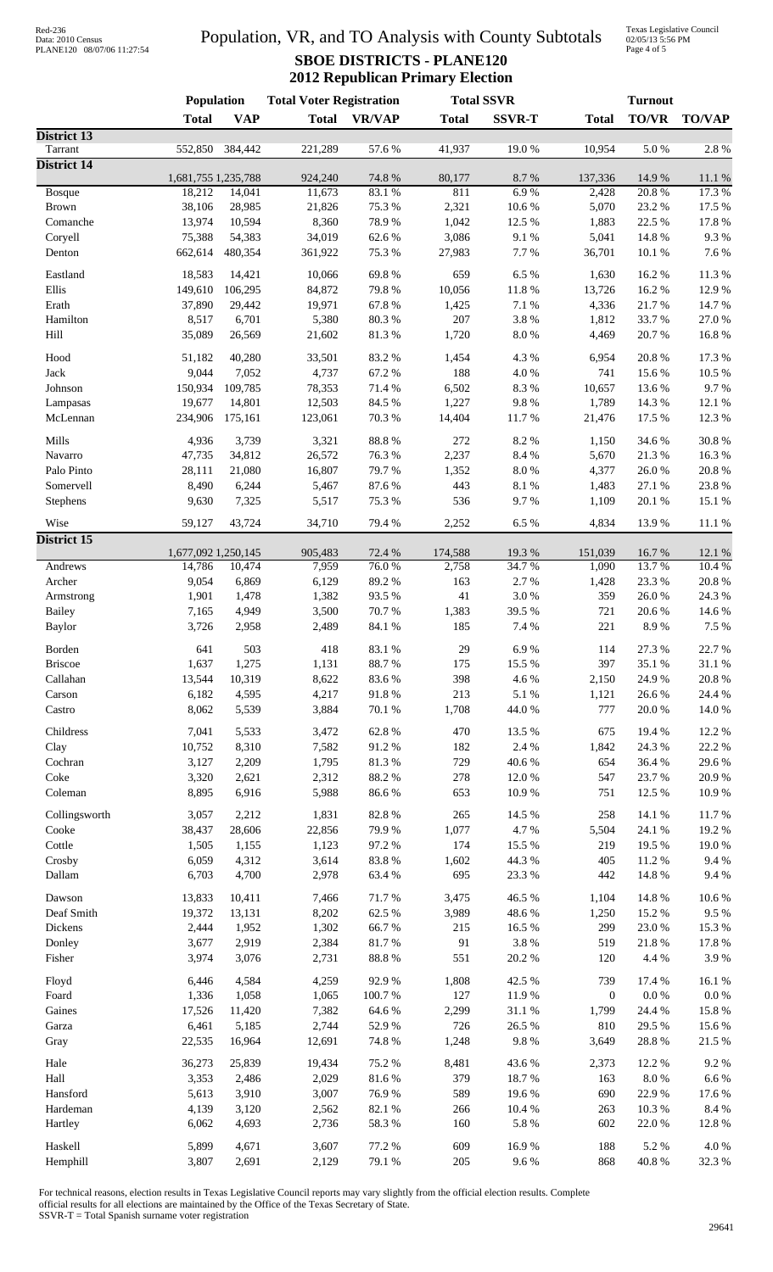| Red-236           |                            |
|-------------------|----------------------------|
| Data: 2010 Census |                            |
|                   | PLANE120 08/07/06 11:27:54 |

## Population, VR, and TO Analysis with County Subtotals **SBOE DISTRICTS - PLANE120 2012 Republican Primary Election**

Texas Legislative Council 02/05/13 5:56 PM Page 4 of 5

|                               | Population          |                 | <b>Total Voter Registration</b> |                | <b>Total SSVR</b> |                    | <b>Turnout</b>   |                     |                 |
|-------------------------------|---------------------|-----------------|---------------------------------|----------------|-------------------|--------------------|------------------|---------------------|-----------------|
|                               | <b>Total</b>        | <b>VAP</b>      | <b>Total</b>                    | <b>VR/VAP</b>  | <b>Total</b>      | <b>SSVR-T</b>      | <b>Total</b>     | <b>TO/VR</b>        | <b>TO/VAP</b>   |
| District 13                   |                     |                 |                                 |                |                   |                    |                  |                     |                 |
| Tarrant<br><b>District 14</b> | 552,850             | 384,442         | 221,289                         | 57.6 %         | 41,937            | 19.0%              | 10,954           | 5.0%                | 2.8 %           |
|                               | 1,681,755 1,235,788 |                 | 924,240                         | 74.8%          | 80,177            | 8.7%               | 137,336          | 14.9 %              | 11.1 %          |
| Bosque                        | 18,212              | 14,041          | 11,673                          | 83.1%          | 811               | 6.9%               | 2,428            | 20.8%               | 17.3 %          |
| <b>Brown</b>                  | 38,106              | 28,985          | 21,826                          | 75.3 %         | 2,321             | 10.6%              | 5,070            | 23.2 %              | 17.5 %          |
| Comanche                      | 13,974              | 10,594          | 8,360                           | 78.9%          | 1,042             | 12.5 %             | 1,883            | 22.5 %              | 17.8%           |
| Coryell                       | 75,388              | 54,383          | 34,019                          | 62.6%          | 3,086             | 9.1%               | 5,041            | 14.8%               | 9.3%            |
| Denton                        | 662,614             | 480,354         | 361,922                         | 75.3 %         | 27,983            | 7.7 %              | 36,701           | 10.1 %              | 7.6%            |
| Eastland                      | 18,583              | 14,421          | 10,066                          | 69.8%          | 659               | 6.5%               | 1,630            | 16.2%               | 11.3%           |
| Ellis                         | 149,610             | 106,295         | 84,872                          | 79.8%          | 10,056            | 11.8 %             | 13,726           | 16.2%               | 12.9%           |
| Erath                         | 37,890              | 29,442          | 19,971                          | 67.8%          | 1,425             | 7.1 %              | 4,336            | 21.7%               | 14.7%           |
| Hamilton                      | 8,517               | 6,701           | 5,380                           | 80.3%          | 207               | 3.8%               | 1,812            | 33.7%               | 27.0%           |
| Hill                          | 35,089              | 26,569          | 21,602                          | 81.3%          | 1,720             | $8.0\ \%$          | 4,469            | 20.7%               | 16.8%           |
| Hood                          | 51,182              | 40,280          | 33,501                          | 83.2%          | 1,454             | 4.3 %              | 6,954            | 20.8%               | 17.3 %          |
| Jack                          | 9,044               | 7,052           | 4,737                           | 67.2%          | 188               | 4.0%               | 741              | 15.6%               | 10.5 %          |
| Johnson                       | 150,934             | 109,785         | 78,353                          | 71.4%          | 6,502             | 8.3%               | 10,657           | 13.6 %              | 9.7%            |
| Lampasas                      | 19,677              | 14,801          | 12,503                          | 84.5 %         | 1,227             | 9.8%               | 1,789            | 14.3 %              | 12.1 %          |
| McLennan                      | 234,906             | 175,161         | 123,061                         | 70.3 %         | 14,404            | 11.7%              | 21,476           | 17.5 %              | 12.3 %          |
| Mills                         | 4,936               | 3,739           | 3,321                           | 88.8%          | 272               | 8.2%               | 1,150            | 34.6%               | 30.8 %          |
| Navarro                       | 47,735              | 34,812          | 26,572                          | 76.3%          | 2,237             | 8.4 %              | 5,670            | 21.3%               | 16.3%           |
| Palo Pinto                    | 28,111              | 21,080          | 16,807                          | 79.7%          | 1,352             | $8.0\ \%$          | 4,377            | 26.0%               | 20.8 %          |
| Somervell                     | 8,490               | 6,244           | 5,467                           | 87.6%          | 443               | 8.1 %              | 1,483            | 27.1 %              | 23.8%           |
| Stephens                      | 9,630               | 7,325           | 5,517                           | 75.3 %         | 536               | 9.7%               | 1,109            | 20.1 %              | 15.1 %          |
| Wise                          | 59,127              | 43,724          | 34,710                          | 79.4 %         | 2,252             | 6.5%               | 4,834            | 13.9%               | 11.1 %          |
| District 15                   |                     |                 |                                 |                |                   |                    |                  |                     |                 |
|                               | 1,677,092 1,250,145 |                 | 905,483                         | 72.4 %         | 174,588           | 19.3 %             | 151,039          | 16.7%               | 12.1 %          |
| Andrews<br>Archer             | 14,786<br>9,054     | 10,474<br>6,869 | 7,959<br>6,129                  | 76.0%<br>89.2% | 2,758<br>163      | 34.7%<br>2.7%      | 1,090<br>1,428   | 13.7%<br>23.3 %     | 10.4 %<br>20.8% |
| Armstrong                     | 1,901               | 1,478           | 1,382                           | 93.5%          | 41                | 3.0%               | 359              | 26.0%               | 24.3 %          |
| Bailey                        | 7,165               | 4,949           | 3,500                           | 70.7%          | 1,383             | 39.5 %             | 721              | 20.6%               | 14.6 %          |
| <b>Baylor</b>                 | 3,726               | 2,958           | 2,489                           | 84.1 %         | 185               | 7.4 %              | 221              | 8.9%                | 7.5 %           |
|                               | 641                 | 503             | 418                             | 83.1 %         | 29                | 6.9%               | 114              | 27.3 %              | 22.7%           |
| Borden<br><b>Briscoe</b>      | 1,637               | 1,275           | 1,131                           | 88.7%          | 175               | 15.5 %             | 397              | 35.1 %              | 31.1%           |
| Callahan                      | 13,544              | 10,319          | 8,622                           | 83.6%          | 398               | 4.6%               | 2,150            | 24.9%               | 20.8 %          |
| Carson                        | 6,182               | 4,595           | 4,217                           | 91.8%          | 213               | 5.1 %              | 1,121            | 26.6%               | 24.4 %          |
| Castro                        | 8,062               | 5,539           | 3,884                           | 70.1 %         | 1,708             | 44.0%              | 777              | 20.0%               | 14.0%           |
| Childress                     | 7,041               | 5,533           | 3,472                           | 62.8%          | 470               | 13.5 %             | 675              | 19.4 %              | 12.2 %          |
| Clay                          | 10,752              | 8,310           | 7,582                           | 91.2%          | 182               | 2.4 %              | 1,842            | 24.3 %              | 22.2 %          |
| Cochran                       | 3,127               | 2,209           | 1,795                           | 81.3%          | 729               | 40.6 %             | 654              | 36.4 %              | 29.6%           |
| Coke                          | 3,320               | 2,621           | 2,312                           | 88.2 %         | 278               | 12.0%              | 547              | 23.7%               | 20.9%           |
| Coleman                       | 8,895               | 6,916           | 5,988                           | 86.6%          | 653               | 10.9%              | 751              | 12.5 %              | 10.9%           |
|                               |                     |                 |                                 |                |                   |                    |                  |                     |                 |
| Collingsworth                 | 3,057               | 2,212           | 1,831                           | 82.8%          | 265               | 14.5 %             | 258              | 14.1 %              | 11.7%           |
| Cooke                         | 38,437              | 28,606          | 22,856                          | 79.9%          | 1,077<br>174      | 4.7%               | 5,504            | 24.1 %              | 19.2 %          |
| Cottle                        | 1,505               | 1,155           | 1,123                           | 97.2%          |                   | 15.5 %             | 219<br>405       | 19.5 %              | 19.0%           |
| Crosby<br>Dallam              | 6,059<br>6,703      | 4,312<br>4,700  | 3,614<br>2,978                  | 83.8%<br>63.4% | 1,602<br>695      | 44.3 %<br>23.3 %   | 442              | 11.2%<br>14.8 %     | 9.4 %<br>9.4 %  |
|                               |                     |                 |                                 |                |                   |                    |                  |                     |                 |
| Dawson                        | 13,833              | 10,411          | 7,466                           | 71.7%          | 3,475             | 46.5 %             | 1,104            | 14.8%               | 10.6%           |
| Deaf Smith                    | 19,372              | 13,131          | 8,202                           | 62.5 %         | 3,989             | 48.6%              | 1,250            | 15.2 %              | 9.5 %           |
| Dickens                       | 2,444               | 1,952           | 1,302                           | 66.7%          | 215               | 16.5 %             | 299              | 23.0%               | 15.3%           |
| Donley<br>Fisher              | 3,677<br>3,974      | 2,919<br>3,076  | 2,384<br>2,731                  | 81.7%<br>88.8% | 91<br>551         | 3.8 %<br>$20.2~\%$ | 519<br>120       | $21.8\ \%$<br>4.4 % | 17.8 %<br>3.9%  |
|                               |                     |                 |                                 |                |                   |                    |                  |                     |                 |
| Floyd                         | 6,446               | 4,584           | 4,259                           | 92.9%          | 1,808             | 42.5 %             | 739              | 17.4 %              | 16.1%           |
| Foard                         | 1,336               | 1,058           | 1,065                           | $100.7~\%$     | 127               | 11.9%              | $\boldsymbol{0}$ | $0.0\ \%$           | $0.0\ \%$       |
| Gaines                        | 17,526              | 11,420          | 7,382                           | 64.6%          | 2,299             | $31.1\text{ }\%$   | 1,799            | 24.4 %              | 15.8%           |
| Garza<br>Gray                 | 6,461<br>22,535     | 5,185<br>16,964 | 2,744<br>12,691                 | 52.9%<br>74.8% | 726<br>1,248      | 26.5 %<br>9.8 %    | 810<br>3,649     | 29.5 %<br>28.8 %    | 15.6%<br>21.5 % |
|                               |                     |                 |                                 |                |                   |                    |                  |                     |                 |
| Hale<br>Hall                  | 36,273<br>3,353     | 25,839<br>2,486 | 19,434<br>2,029                 | 75.2%<br>81.6% | 8,481<br>379      | 43.6%<br>18.7%     | 2,373<br>163     | 12.2 %<br>8.0%      | 9.2%<br>6.6%    |
| Hansford                      | 5,613               | 3,910           | 3,007                           | 76.9%          | 589               | 19.6%              | 690              | 22.9%               | 17.6 %          |
| Hardeman                      | 4,139               | 3,120           | 2,562                           | 82.1 %         | 266               | 10.4 %             | 263              | 10.3%               | 8.4%            |
| Hartley                       | 6,062               | 4,693           | 2,736                           | 58.3%          | 160               | 5.8 %              | 602              | 22.0%               | 12.8%           |
| Haskell                       | 5,899               | 4,671           | 3,607                           | 77.2 %         | 609               | 16.9%              | 188              | 5.2%                | 4.0 %           |
| Hemphill                      | 3,807               | 2,691           | 2,129                           | 79.1 %         | $205\,$           | $9.6\;\%$          | 868              | 40.8 %              | 32.3 %          |
|                               |                     |                 |                                 |                |                   |                    |                  |                     |                 |